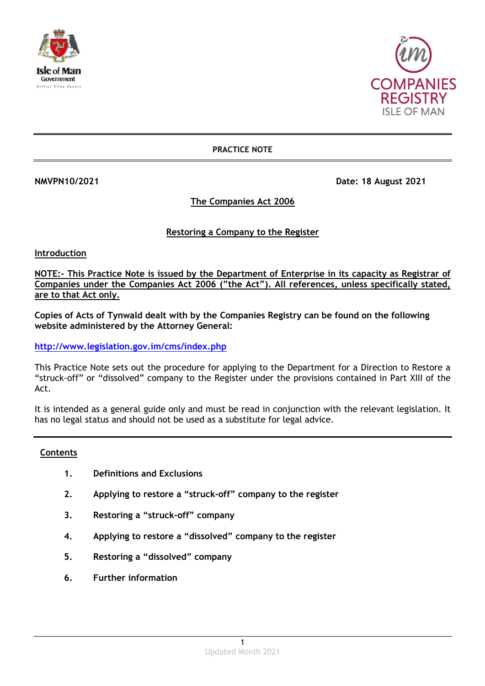



## **PRACTICE NOTE**

**NMVPN10/2021 Date: 18 August 2021** 

# **The Companies Act 2006**

# **Restoring a Company to the Register**

**Introduction**

**NOTE:- This Practice Note is issued by the Department of Enterprise in its capacity as Registrar of Companies under the Companies Act 2006 ("the Act"). All references, unless specifically stated, are to that Act only.**

**Copies of Acts of Tynwald dealt with by the Companies Registry can be found on the following website administered by the Attorney General:**

**<http://www.legislation.gov.im/cms/index.php>**

This Practice Note sets out the procedure for applying to the Department for a Direction to Restore a "struck-off" or "dissolved" company to the Register under the provisions contained in Part XIII of the Act.

It is intended as a general guide only and must be read in conjunction with the relevant legislation. It has no legal status and should not be used as a substitute for legal advice.

## **Contents**

- **1. Definitions and Exclusions**
- **2. Applying to restore a "struck-off" company to the register**
- **3. Restoring a "struck-off" company**
- **4. Applying to restore a "dissolved" company to the register**
- **5. Restoring a "dissolved" company**
- **6. Further information**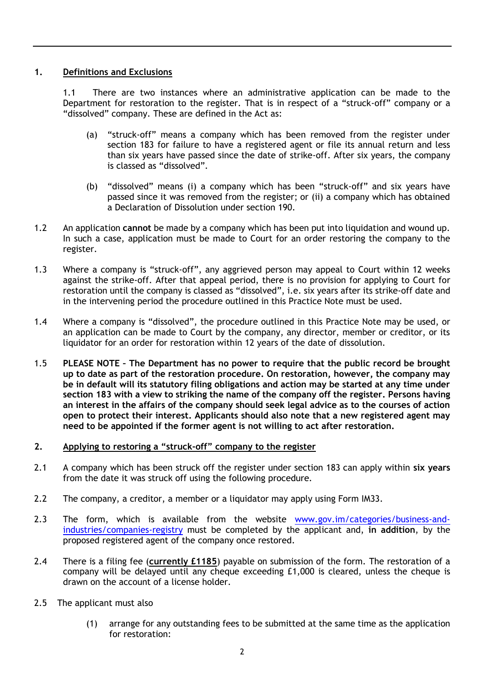## **1. Definitions and Exclusions**

1.1 There are two instances where an administrative application can be made to the Department for restoration to the register. That is in respect of a "struck-off" company or a "dissolved" company. These are defined in the Act as:

- (a) "struck-off" means a company which has been removed from the register under section 183 for failure to have a registered agent or file its annual return and less than six years have passed since the date of strike-off. After six years, the company is classed as "dissolved".
- (b) "dissolved" means (i) a company which has been "struck-off" and six years have passed since it was removed from the register; or (ii) a company which has obtained a Declaration of Dissolution under section 190.
- 1.2 An application **cannot** be made by a company which has been put into liquidation and wound up. In such a case, application must be made to Court for an order restoring the company to the register.
- 1.3 Where a company is "struck-off", any aggrieved person may appeal to Court within 12 weeks against the strike-off. After that appeal period, there is no provision for applying to Court for restoration until the company is classed as "dissolved", i.e. six years after its strike-off date and in the intervening period the procedure outlined in this Practice Note must be used.
- 1.4 Where a company is "dissolved", the procedure outlined in this Practice Note may be used, or an application can be made to Court by the company, any director, member or creditor, or its liquidator for an order for restoration within 12 years of the date of dissolution.
- 1.5 **PLEASE NOTE – The Department has no power to require that the public record be brought up to date as part of the restoration procedure. On restoration, however, the company may be in default will its statutory filing obligations and action may be started at any time under section 183 with a view to striking the name of the company off the register. Persons having an interest in the affairs of the company should seek legal advice as to the courses of action open to protect their interest. Applicants should also note that a new registered agent may need to be appointed if the former agent is not willing to act after restoration.**

## **2. Applying to restoring a "struck-off" company to the register**

- 2.1 A company which has been struck off the register under section 183 can apply within **six years** from the date it was struck off using the following procedure.
- 2.2 The company, a creditor, a member or a liquidator may apply using Form IM33.
- 2.3 The form, which is available from the website [www.gov.im/categories/business-and](http://www.gov.im/categories/business-and-industries/companies-registry)[industries/companies-registry](http://www.gov.im/categories/business-and-industries/companies-registry) must be completed by the applicant and, **in addition**, by the proposed registered agent of the company once restored.
- 2.4 There is a filing fee (**currently £1185**) payable on submission of the form. The restoration of a company will be delayed until any cheque exceeding £1,000 is cleared, unless the cheque is drawn on the account of a license holder.
- 2.5 The applicant must also
	- (1) arrange for any outstanding fees to be submitted at the same time as the application for restoration: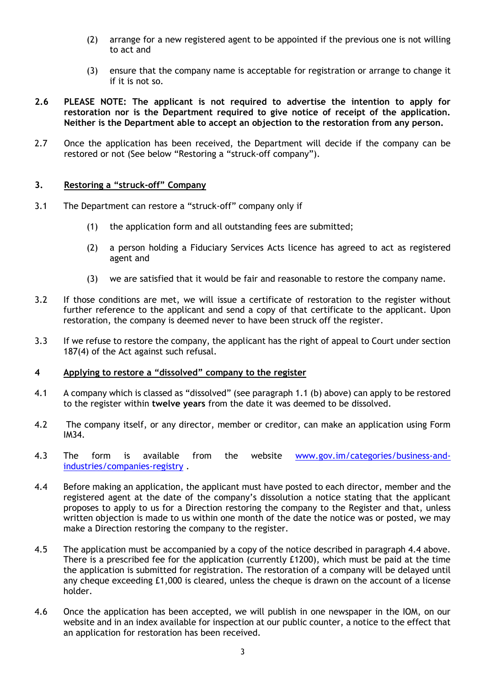- (2) arrange for a new registered agent to be appointed if the previous one is not willing to act and
- (3) ensure that the company name is acceptable for registration or arrange to change it if it is not so.
- **2.6 PLEASE NOTE: The applicant is not required to advertise the intention to apply for restoration nor is the Department required to give notice of receipt of the application. Neither is the Department able to accept an objection to the restoration from any person.**
- 2.7 Once the application has been received, the Department will decide if the company can be restored or not (See below "Restoring a "struck-off company").

### **3. Restoring a "struck-off" Company**

- 3.1 The Department can restore a "struck-off" company only if
	- (1) the application form and all outstanding fees are submitted;
	- (2) a person holding a Fiduciary Services Acts licence has agreed to act as registered agent and
	- (3) we are satisfied that it would be fair and reasonable to restore the company name.
- 3.2 If those conditions are met, we will issue a certificate of restoration to the register without further reference to the applicant and send a copy of that certificate to the applicant. Upon restoration, the company is deemed never to have been struck off the register.
- 3.3 If we refuse to restore the company, the applicant has the right of appeal to Court under section 187(4) of the Act against such refusal.

#### **4 Applying to restore a "dissolved" company to the register**

- 4.1 A company which is classed as "dissolved" (see paragraph 1.1 (b) above) can apply to be restored to the register within **twelve years** from the date it was deemed to be dissolved.
- 4.2 The company itself, or any director, member or creditor, can make an application using Form IM34.
- 4.3 The form is available from the website [www.gov.im/categories/business-and](http://www.gov.im/categories/business-and-industries/companies-registry)[industries/companies-registry](http://www.gov.im/categories/business-and-industries/companies-registry) .
- 4.4 Before making an application, the applicant must have posted to each director, member and the registered agent at the date of the company's dissolution a notice stating that the applicant proposes to apply to us for a Direction restoring the company to the Register and that, unless written objection is made to us within one month of the date the notice was or posted, we may make a Direction restoring the company to the register.
- 4.5 The application must be accompanied by a copy of the notice described in paragraph 4.4 above. There is a prescribed fee for the application (currently £1200), which must be paid at the time the application is submitted for registration. The restoration of a company will be delayed until any cheque exceeding £1,000 is cleared, unless the cheque is drawn on the account of a license holder.
- 4.6 Once the application has been accepted, we will publish in one newspaper in the IOM, on our website and in an index available for inspection at our public counter, a notice to the effect that an application for restoration has been received.